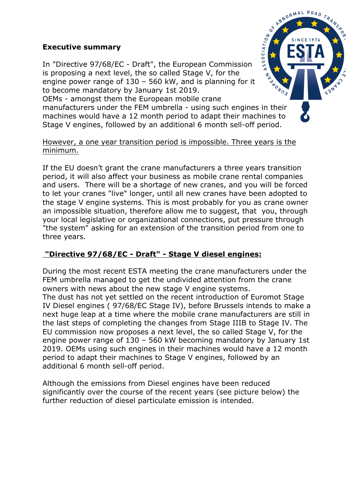## **Executive summary**

In "Directive 97/68/EC - Draft", the European Commission is proposing a next level, the so called Stage V, for the engine power range of 130 – 560 kW, and is planning for it to become mandatory by January 1st 2019.

OEMs - amongst them the European mobile crane manufacturers under the FEM umbrella - using such engines in their machines would have a 12 month period to adapt their machines to Stage V engines, followed by an additional 6 month sell-off period.

## However, a one year transition period is impossible. Three years is the minimum.

If the EU doesn't grant the crane manufacturers a three years transition period, it will also affect your business as mobile crane rental companies and users. There will be a shortage of new cranes, and you will be forced to let your cranes "live" longer, until all new cranes have been adopted to the stage V engine systems. This is most probably for you as crane owner an impossible situation, therefore allow me to suggest, that you, through your local legislative or organizational connections, put pressure through "the system" asking for an extension of the transition period from one to three years.

## **"Directive 97/68/EC - Draft" - Stage V diesel engines:**

During the most recent ESTA meeting the crane manufacturers under the FEM umbrella managed to get the undivided attention from the crane owners with news about the new stage V engine systems. The dust has not yet settled on the recent introduction of Euromot Stage IV Diesel engines ( 97/68/EC Stage IV), before Brussels intends to make a next huge leap at a time where the mobile crane manufacturers are still in the last steps of completing the changes from Stage IIIB to Stage IV. The EU commission now proposes a next level, the so called Stage V, for the engine power range of 130 – 560 kW becoming mandatory by January 1st 2019. OEMs using such engines in their machines would have a 12 month period to adapt their machines to Stage V engines, followed by an additional 6 month sell-off period.

Although the emissions from Diesel engines have been reduced significantly over the course of the recent years (see picture below) the further reduction of diesel particulate emission is intended.

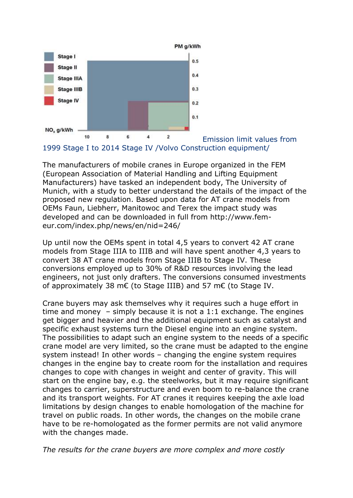

1999 Stage I to 2014 Stage IV /Volvo Construction equipment/

The manufacturers of mobile cranes in Europe organized in the FEM (European Association of Material Handling and Lifting Equipment Manufacturers) have tasked an independent body, The University of Munich, with a study to better understand the details of the impact of the proposed new regulation. Based upon data for AT crane models from OEMs Faun, Liebherr, Manitowoc and Terex the impact study was developed and can be downloaded in full from http://www.femeur.com/index.php/news/en/nid=246/

Up until now the OEMs spent in total 4,5 years to convert 42 AT crane models from Stage IIIA to IIIB and will have spent another 4,3 years to convert 38 AT crane models from Stage IIIB to Stage IV. These conversions employed up to 30% of R&D resources involving the lead engineers, not just only drafters. The conversions consumed investments of approximately 38 m€ (to Stage IIIB) and 57 m€ (to Stage IV.

Crane buyers may ask themselves why it requires such a huge effort in time and money  $-$  simply because it is not a 1:1 exchange. The engines get bigger and heavier and the additional equipment such as catalyst and specific exhaust systems turn the Diesel engine into an engine system. The possibilities to adapt such an engine system to the needs of a specific crane model are very limited, so the crane must be adapted to the engine system instead! In other words – changing the engine system requires changes in the engine bay to create room for the installation and requires changes to cope with changes in weight and center of gravity. This will start on the engine bay, e.g. the steelworks, but it may require significant changes to carrier, superstructure and even boom to re-balance the crane and its transport weights. For AT cranes it requires keeping the axle load limitations by design changes to enable homologation of the machine for travel on public roads. In other words, the changes on the mobile crane have to be re-homologated as the former permits are not valid anymore with the changes made.

*The results for the crane buyers are more complex and more costly*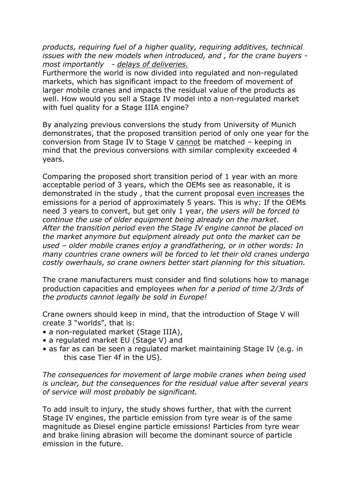*products, requiring fuel of a higher quality, requiring additives, technical issues with the new models when introduced, and , for the crane buyers most importantly - delays of deliveries.*

Furthermore the world is now divided into regulated and non-regulated markets, which has significant impact to the freedom of movement of larger mobile cranes and impacts the residual value of the products as well. How would you sell a Stage IV model into a non-regulated market with fuel quality for a Stage IIIA engine?

By analyzing previous conversions the study from University of Munich demonstrates, that the proposed transition period of only one year for the conversion from Stage IV to Stage V cannot be matched – keeping in mind that the previous conversions with similar complexity exceeded 4 years.

Comparing the proposed short transition period of 1 year with an more acceptable period of 3 years, which the OEMs see as reasonable, it is demonstrated in the study , that the current proposal even increases the emissions for a period of approximately 5 years. This is why: If the OEMs need 3 years to convert, but get only 1 year, *the users will be forced to continue the use of older equipment being already on the market. After the transition period even the Stage IV engine cannot be placed on the market anymore but equipment already put onto the market can be used – older mobile cranes enjoy a grandfathering, or in other words: In many countries crane owners will be forced to let their old cranes undergo costly owerhauls, so crane owners better start planning for this situation.*

The crane manufacturers must consider and find solutions how to manage production capacities and employees *when for a period of time 2/3rds of the products cannot legally be sold in Europe!*

Crane owners should keep in mind, that the introduction of Stage V will create 3 "worlds", that is:

- a non-regulated market (Stage IIIA),
- a regulated market EU (Stage V) and
- as far as can be seen a regulated market maintaining Stage IV (e.g. in this case Tier 4f in the US).

*The consequences for movement of large mobile cranes when being used is unclear, but the consequences for the residual value after several years of service will most probably be significant.*

To add insult to injury, the study shows further, that with the current Stage IV engines, the particle emission from tyre wear is of the same magnitude as Diesel engine particle emissions! Particles from tyre wear and brake lining abrasion will become the dominant source of particle emission in the future.